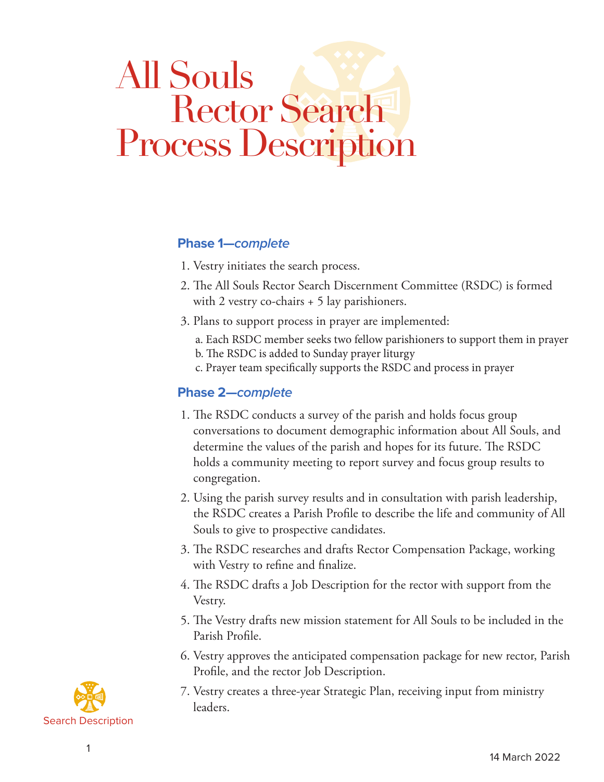# All Souls **Rector Search** Process Description

## **Phase 1—***complete*

- 1. Vestry initiates the search process.
- 2. The All Souls Rector Search Discernment Committee (RSDC) is formed with 2 vestry co-chairs + 5 lay parishioners.
- 3. Plans to support process in prayer are implemented:
	- a. Each RSDC member seeks two fellow parishioners to support them in prayer
	- b. The RSDC is added to Sunday prayer liturgy
	- c. Prayer team specifically supports the RSDC and process in prayer

#### **Phase 2—***complete*

- 1. The RSDC conducts a survey of the parish and holds focus group conversations to document demographic information about All Souls, and determine the values of the parish and hopes for its future. The RSDC holds a community meeting to report survey and focus group results to congregation.
- 2. Using the parish survey results and in consultation with parish leadership, the RSDC creates a Parish Profile to describe the life and community of All Souls to give to prospective candidates.
- 3. The RSDC researches and drafts Rector Compensation Package, working with Vestry to refine and finalize.
- 4. The RSDC drafts a Job Description for the rector with support from the Vestry.
- 5. The Vestry drafts new mission statement for All Souls to be included in the Parish Profile.
- 6. Vestry approves the anticipated compensation package for new rector, Parish Profile, and the rector Job Description.
- 7. Vestry creates a three-year Strategic Plan, receiving input from ministry leaders.